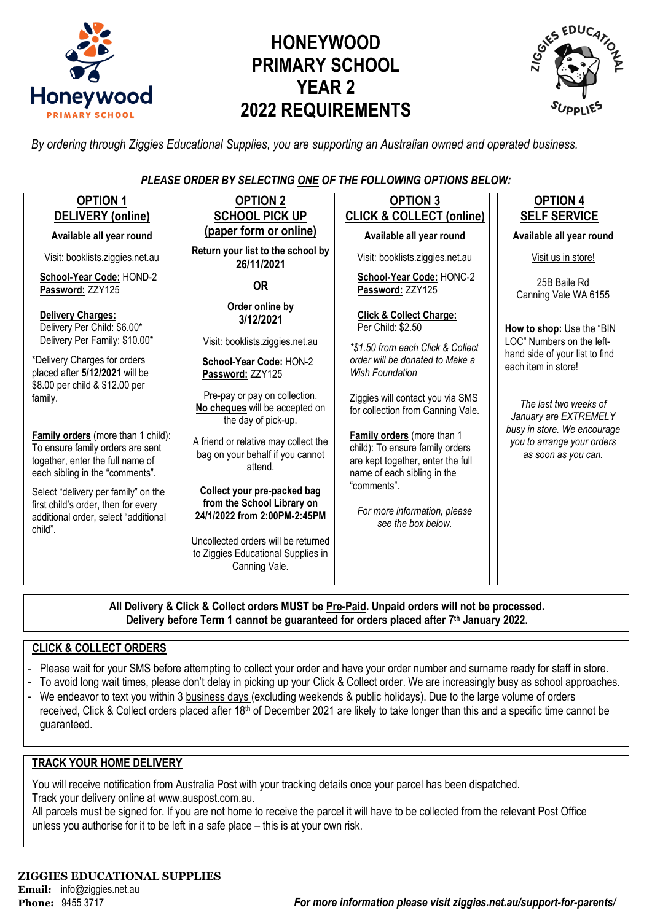

# **HONEYWOOD PRIMARY SCHOOL YEAR 2 2022 REQUIREMENTS**



*By ordering through Ziggies Educational Supplies, you are supporting an Australian owned and operated business.*

*PLEASE ORDER BY SELECTING ONE OF THE FOLLOWING OPTIONS BELOW:*

| <b>OPTION 1</b>                                                                                                                               | <b>OPTION 2</b>                                                                            | <b>OPTION 3</b>                                                                                                                   | <b>OPTION 4</b>                                                                  |  |
|-----------------------------------------------------------------------------------------------------------------------------------------------|--------------------------------------------------------------------------------------------|-----------------------------------------------------------------------------------------------------------------------------------|----------------------------------------------------------------------------------|--|
| DELIVERY (online)                                                                                                                             | <b>SCHOOL PICK UP</b>                                                                      | <b>CLICK &amp; COLLECT (online)</b>                                                                                               | <b>SELF SERVICE</b>                                                              |  |
| Available all year round                                                                                                                      | (paper form or online)                                                                     | Available all year round                                                                                                          | Available all year round                                                         |  |
| Visit: booklists.ziggies.net.au                                                                                                               | Return your list to the school by<br>26/11/2021                                            | Visit: booklists.ziggies.net.au                                                                                                   | Visit us in store!                                                               |  |
| School-Year Code: HOND-2<br>Password: ZZY125                                                                                                  | <b>OR</b>                                                                                  | School-Year Code: HONC-2<br>Password: ZZY125                                                                                      | 25B Baile Rd<br>Canning Vale WA 6155                                             |  |
| Delivery Charges:<br>Delivery Per Child: \$6.00*<br>Delivery Per Family: \$10.00*                                                             | Order online by<br>3/12/2021<br>Visit: booklists.ziggies.net.au                            | <b>Click &amp; Collect Charge:</b><br>Per Child: \$2.50                                                                           | How to shop: Use the "BIN<br>LOC" Numbers on the left-                           |  |
| *Delivery Charges for orders<br>placed after 5/12/2021 will be<br>\$8.00 per child & \$12.00 per                                              | School-Year Code: HON-2<br>Password: ZZY125                                                | *\$1.50 from each Click & Collect<br>order will be donated to Make a<br><b>Wish Foundation</b>                                    | hand side of your list to find<br>each item in store!                            |  |
| family.                                                                                                                                       | Pre-pay or pay on collection.<br>No cheques will be accepted on<br>the day of pick-up.     | Ziggies will contact you via SMS<br>for collection from Canning Vale.                                                             | The last two weeks of<br>January are <b>EXTREMELY</b>                            |  |
| Family orders (more than 1 child):<br>To ensure family orders are sent<br>together, enter the full name of<br>each sibling in the "comments". | A friend or relative may collect the<br>bag on your behalf if you cannot<br>attend.        | Family orders (more than 1<br>child): To ensure family orders<br>are kept together, enter the full<br>name of each sibling in the | busy in store. We encourage<br>you to arrange your orders<br>as soon as you can. |  |
| Select "delivery per family" on the<br>first child's order, then for every<br>additional order, select "additional<br>child".                 | Collect your pre-packed bag<br>from the School Library on<br>24/1/2022 from 2:00PM-2:45PM  | "comments".<br>For more information, please<br>see the box below.                                                                 |                                                                                  |  |
|                                                                                                                                               | Uncollected orders will be returned<br>to Ziggies Educational Supplies in<br>Canning Vale. |                                                                                                                                   |                                                                                  |  |

**All Delivery & Click & Collect orders MUST be Pre-Paid. Unpaid orders will not be processed. Delivery before Term 1 cannot be guaranteed for orders placed after 7th January 2022.**

### **CLICK & COLLECT ORDERS**

- Please wait for your SMS before attempting to collect your order and have your order number and surname ready for staff in store.
- To avoid long wait times, please don't delay in picking up your Click & Collect order. We are increasingly busy as school approaches.
- We endeavor to text you within 3 business days (excluding weekends & public holidays). Due to the large volume of orders received, Click & Collect orders placed after 18<sup>th</sup> of December 2021 are likely to take longer than this and a specific time cannot be guaranteed.

### **TRACK YOUR HOME DELIVERY**

You will receive notification from Australia Post with your tracking details once your parcel has been dispatched. Track your delivery online a[t www.auspost.com.au.](http://www.auspost.com.au/)

All parcels must be signed for. If you are not home to receive the parcel it will have to be collected from the relevant Post Office unless you authorise for it to be left in a safe place – this is at your own risk.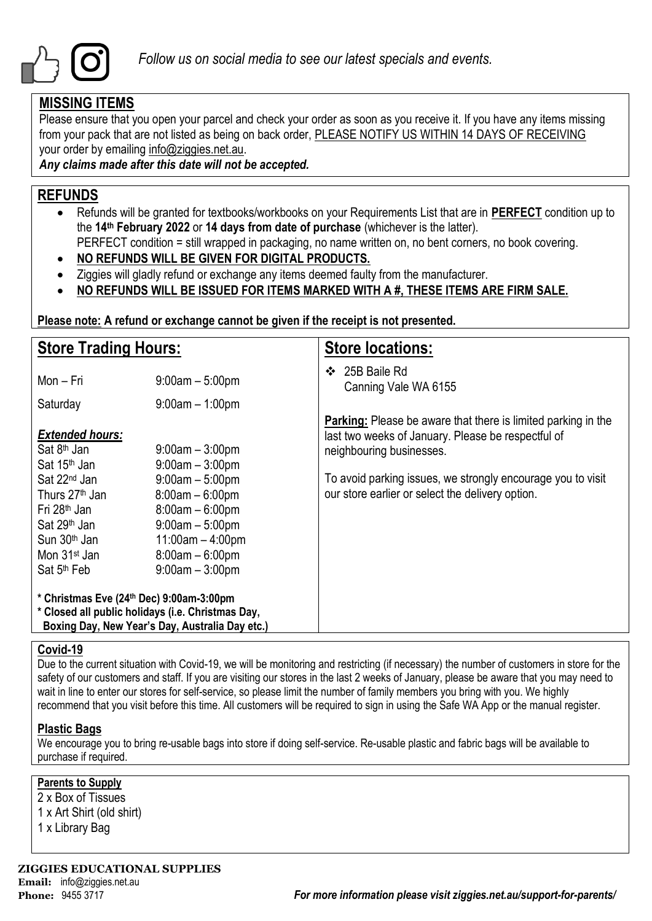

### **MISSING ITEMS**

Please ensure that you open your parcel and check your order as soon as you receive it. If you have any items missing from your pack that are not listed as being on back order, PLEASE NOTIFY US WITHIN 14 DAYS OF RECEIVING your order by emailing info@ziggies.net.au.

*Any claims made after this date will not be accepted.*

### **REFUNDS**

- Refunds will be granted for textbooks/workbooks on your Requirements List that are in **PERFECT** condition up to the **14th February 2022** or **14 days from date of purchase** (whichever is the latter).
	- PERFECT condition = still wrapped in packaging, no name written on, no bent corners, no book covering.
- **NO REFUNDS WILL BE GIVEN FOR DIGITAL PRODUCTS.**
- Ziggies will gladly refund or exchange any items deemed faulty from the manufacturer.
- **NO REFUNDS WILL BE ISSUED FOR ITEMS MARKED WITH A #, THESE ITEMS ARE FIRM SALE.**

**Please note: A refund or exchange cannot be given if the receipt is not presented.**

| <b>Store Trading Hours:</b>                                                                                                                                                                       |                                                                                                                                                  | <b>Store locations:</b>                                                                                                                                |  |  |  |  |
|---------------------------------------------------------------------------------------------------------------------------------------------------------------------------------------------------|--------------------------------------------------------------------------------------------------------------------------------------------------|--------------------------------------------------------------------------------------------------------------------------------------------------------|--|--|--|--|
| Mon - Fri                                                                                                                                                                                         | $9:00am - 5:00pm$                                                                                                                                | 25B Baile Rd<br>❖<br>Canning Vale WA 6155                                                                                                              |  |  |  |  |
| Saturday                                                                                                                                                                                          | $9:00$ am $-1:00$ pm                                                                                                                             |                                                                                                                                                        |  |  |  |  |
| <b>Extended hours:</b><br>Sat 8 <sup>th</sup> Jan<br>Sat 15 <sup>th</sup> Jan                                                                                                                     | $9:00$ am $-3:00$ pm<br>$9:00am - 3:00pm$                                                                                                        | <b>Parking:</b> Please be aware that there is limited parking in the<br>last two weeks of January. Please be respectful of<br>neighbouring businesses. |  |  |  |  |
| Sat 22 <sup>nd</sup> Jan<br>Thurs 27 <sup>th</sup> Jan<br>Fri 28 <sup>th</sup> Jan<br>Sat 29 <sup>th</sup> Jan<br>Sun 30 <sup>th</sup> Jan<br>Mon 31 <sup>st</sup> Jan<br>Sat 5 <sup>th</sup> Feb | $9:00am - 5:00pm$<br>$8:00am - 6:00pm$<br>$8:00am - 6:00pm$<br>$9:00am - 5:00pm$<br>$11:00am - 4:00pm$<br>$8:00am - 6:00pm$<br>$9:00am - 3:00pm$ | To avoid parking issues, we strongly encourage you to visit<br>our store earlier or select the delivery option.                                        |  |  |  |  |
| * Christmas Eve (24th Dec) 9:00am-3:00pm<br>* Closed all public holidays (i.e. Christmas Day,<br>Boxing Day, New Year's Day, Australia Day etc.)                                                  |                                                                                                                                                  |                                                                                                                                                        |  |  |  |  |

### **Covid-19**

Due to the current situation with Covid-19, we will be monitoring and restricting (if necessary) the number of customers in store for the safety of our customers and staff. If you are visiting our stores in the last 2 weeks of January, please be aware that you may need to wait in line to enter our stores for self-service, so please limit the number of family members you bring with you. We highly recommend that you visit before this time. All customers will be required to sign in using the Safe WA App or the manual register.

### **Plastic Bags**

We encourage you to bring re-usable bags into store if doing self-service. Re-usable plastic and fabric bags will be available to purchase if required.

### **Parents to Supply**

2 x Box of Tissues 1 x Art Shirt (old shirt)

1 x Library Bag